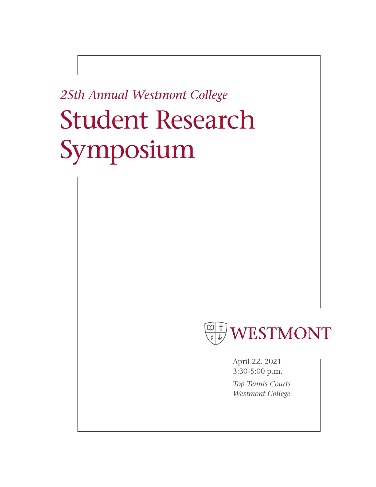# *25th Annual Westmont College* Student Research Symposium



April 22, 2021 3:30-5:00 p.m. *Top Tennis Courts Westmont College*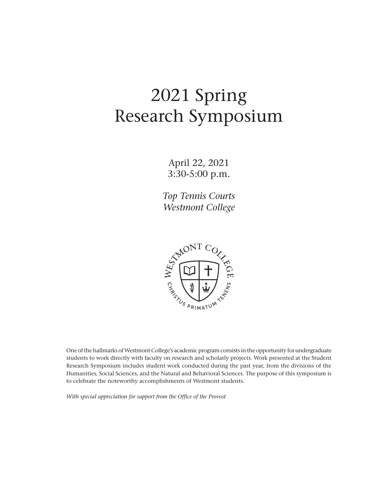# 2021 Spring Research Symposium

April 22, 2021 3:30-5:00 p.m.

*Top Tennis Courts Westmont College*



One of the hallmarks of Westmont College's academic program consists in the opportunity for undergraduate students to work directly with faculty on research and scholarly projects. Work presented at the Student Research Symposium includes student work conducted during the past year, from the divisions of the Humanities, Social Sciences, and the Natural and Behavioral Sciences. The purpose of this symposium is to celebrate the noteworthy accomplishments of Westmont students.

*With special appreciation for support from the Office of the Provost*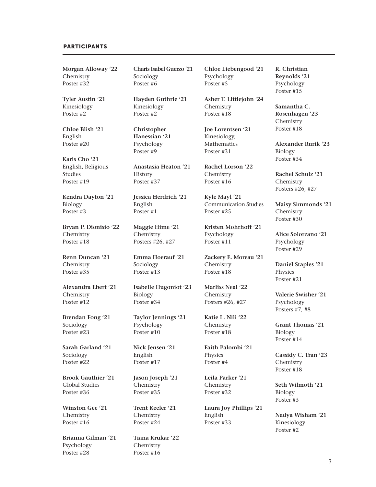#### PARTICIPANTS

**Morgan Alloway '22** Chemistry Poster #32

**Tyler Austin '21** Kinesiology Poster #2

**Chloe Blish '21** English Poster #20

**Karis Cho '21** English, Religious **Studies** Poster #19

**Kendra Dayton '21** Biology Poster #3

**Bryan P. Dionisio '22** Chemistry Poster #18

**Renn Duncan '21** Chemistry Poster #35

**Alexandra Ebert '21** Chemistry Poster #12

**Brendan Fong '21** Sociology Poster #23

**Sarah Garland '21** Sociology Poster #22

**Brook Gauthier '21** Global Studies Poster #36

**Winston Gee '21** Chemistry Poster #16

**Brianna Gilman '21** Psychology Poster #28

**Charis Isabel Guerzo '21** Sociology Poster #6

**Hayden Guthrie '21** Kinesiology Poster #2

**Christopher Hanessian '21** Psychology Poster #9

**Anastasia Heaton '21** History Poster #37

**Jessica Herdrich '21** English Poster #1

**Maggie Hime '21** Chemistry Posters #26, #27

**Emma Hoerauf '21** Sociology Poster #13

**Isabelle Hugoniot '23** Biology Poster #34

**Taylor Jennings '21** Psychology Poster #10

**Nick Jensen '21** English Poster #17

**Jason Joseph '21 Chemistry** Poster #35

**Trent Keeler '21** Chemistry Poster #24

**Tiana Krukar '22** Chemistry Poster #16

**Chloe Liebengood '21** Psychology Poster #5

**Asher T. Littlejohn '24** Chemistry Poster #18

**Joe Lorentsen '21** Kinesiology, Mathematics Poster #31

**Rachel Lorson '22** Chemistry Poster #16

**Kyle Mayl '21** Communication Studies Poster #25

**Kristen Mohrhoff '21** Psychology Poster #11

**Zackery E. Moreau '21** Chemistry Poster #18

**Marliss Neal '22** Chemistry Posters #26, #27

**Katie L. Nili '22** Chemistry Poster #18

**Faith Palombi '21** Physics Poster #4

**Leila Parker '21** Chemistry Poster #32

**Laura Joy Phillips '21** English Poster #33

**R. Christian Reynolds '21** Psychology Poster #15

**Samantha C. Rosenhagen '23** Chemistry Poster #18

**Alexander Rurik '23** Biology Poster #34

**Rachel Schulz '21** Chemistry Posters #26, #27

**Maisy Simmonds '21** Chemistry Poster #30

**Alice Solorzano '21** Psychology Poster #29

**Daniel Staples '21** Physics Poster #21

**Valerie Swisher '21** Psychology Posters #7, #8

**Grant Thomas '21** Biology Poster #14

**Cassidy C. Tran '23 Chemistry** Poster #18

**Seth Wilmoth '21** Biology Poster #3

**Nadya Wisham '21** Kinesiology Poster #2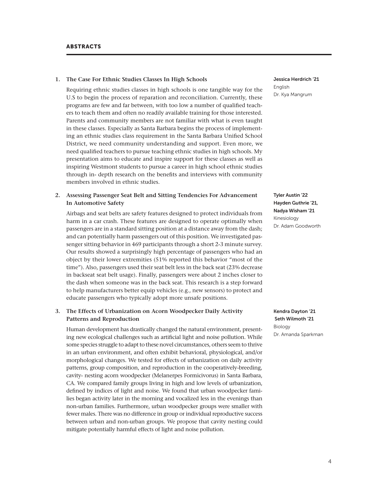#### **1. The Case For Ethnic Studies Classes In High Schools**

Requiring ethnic studies classes in high schools is one tangible way for the U.S to begin the process of reparation and reconciliation. Currently, these programs are few and far between, with too low a number of qualified teachers to teach them and often no readily available training for those interested. Parents and community members are not familiar with what is even taught in these classes. Especially as Santa Barbara begins the process of implementing an ethnic studies class requirement in the Santa Barbara Unified School District, we need community understanding and support. Even more, we need qualified teachers to pursue teaching ethnic studies in high schools. My presentation aims to educate and inspire support for these classes as well as inspiring Westmont students to pursue a career in high school ethnic studies through in- depth research on the benefits and interviews with community members involved in ethnic studies.

#### **2. Assessing Passenger Seat Belt and Sitting Tendencies For Advancement In Automotive Safety**

Airbags and seat belts are safety features designed to protect individuals from harm in a car crash. These features are designed to operate optimally when passengers are in a standard sitting position at a distance away from the dash; and can potentially harm passengers out of this position. We investigated passenger sitting behavior in 469 participants through a short 2-3 minute survey. Our results showed a surprisingly high percentage of passengers who had an object by their lower extremities (51% reported this behavior "most of the time"). Also, passengers used their seat belt less in the back seat (23% decrease in backseat seat belt usage). Finally, passengers were about 2 inches closer to the dash when someone was in the back seat. This research is a step forward to help manufacturers better equip vehicles (e.g., new sensors) to protect and educate passengers who typically adopt more unsafe positions.

# **3. The Effects of Urbanization on Acorn Woodpecker Daily Activity Patterns and Reproduction**

Human development has drastically changed the natural environment, presenting new ecological challenges such as artificial light and noise pollution. While some species struggle to adapt to these novel circumstances, others seem to thrive in an urban environment, and often exhibit behavioral, physiological, and/or morphological changes. We tested for effects of urbanization on daily activity patterns, group composition, and reproduction in the cooperatively-breeding, cavity- nesting acorn woodpecker (Melanerpes Formicivorus) in Santa Barbara, CA. We compared family groups living in high and low levels of urbanization, defined by indices of light and noise. We found that urban woodpecker families began activity later in the morning and vocalized less in the evenings than non-urban families. Furthermore, urban woodpecker groups were smaller with fewer males. There was no difference in group or individual reproductive success between urban and non-urban groups. We propose that cavity nesting could mitigate potentially harmful effects of light and noise pollution.

Jessica Herdrich '21 English Dr. Kya Mangrum

Tyler Austin '22 Hayden Guthrie '21, Nadya Wisham '21 Kinesiology Dr. Adam Goodworth

Kendra Dayton '21 Seth Wilmoth '21 Biology Dr. Amanda Sparkman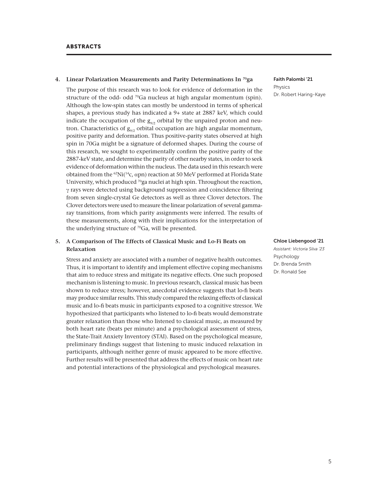#### **4. Linear Polarization Measurements and Parity Determinations In 70ga**

The purpose of this research was to look for evidence of deformation in the structure of the odd- odd  $^{70}Ga$  nucleus at high angular momentum (spin). Although the low-spin states can mostly be understood in terms of spherical shapes, a previous study has indicated a 9+ state at 2887 keV, which could indicate the occupation of the  $g_{9/2}$  orbital by the unpaired proton and neutron. Characteristics of  $g_{9/2}$  orbital occupation are high angular momentum, positive parity and deformation. Thus positive-parity states observed at high spin in 70Ga might be a signature of deformed shapes. During the course of this research, we sought to experimentally confirm the positive parity of the 2887-keV state, and determine the parity of other nearby states, in order to seek evidence of deformation within the nucleus. The data used in this research were obtained from the <sup>62</sup>Ni(<sup>14</sup>c, αpn) reaction at 50 MeV performed at Florida State University, which produced  $70$ ga nuclei at high spin. Throughout the reaction, γ rays were detected using background suppression and coincidence filtering from seven single-crystal Ge detectors as well as three Clover detectors. The Clover detectors were used to measure the linear polarization of several gammaray transitions, from which parity assignments were inferred. The results of these measurements, along with their implications for the interpretation of the underlying structure of  $^{70}Ga$ , will be presented.

#### **5. A Comparison of The Effects of Classical Music and Lo-Fi Beats on Relaxation**

Stress and anxiety are associated with a number of negative health outcomes. Thus, it is important to identify and implement effective coping mechanisms that aim to reduce stress and mitigate its negative effects. One such proposed mechanism is listening to music. In previous research, classical music has been shown to reduce stress; however, anecdotal evidence suggests that lo-fi beats may produce similar results. This study compared the relaxing effects of classical music and lo-fi beats music in participants exposed to a cognitive stressor. We hypothesized that participants who listened to lo-fi beats would demonstrate greater relaxation than those who listened to classical music, as measured by both heart rate (beats per minute) and a psychological assessment of stress, the State-Trait Anxiety Inventory (STAI). Based on the psychological measure, preliminary findings suggest that listening to music induced relaxation in participants, although neither genre of music appeared to be more effective. Further results will be presented that address the effects of music on heart rate and potential interactions of the physiological and psychological measures.

Faith Palombi '21 Physics Dr. Robert Haring-Kaye

#### Chloe Liebengood '21

*Assistant: Victoria Silva '23*  Psychology Dr. Brenda Smith Dr. Ronald See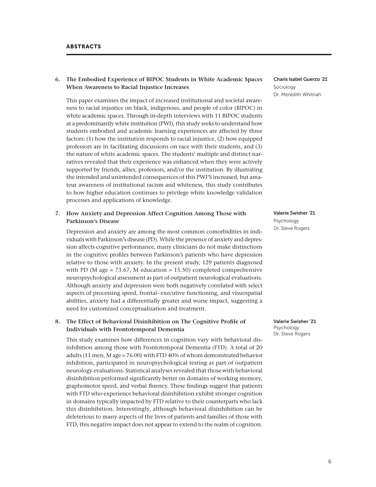# **6. The Embodied Experience of BIPOC Students in White Academic Spaces When Awareness to Racial Injustice Increases**

This paper examines the impact of increased institutional and societal awareness to racial injustice on black, indigenous, and people of color (BIPOC) in white academic spaces. Through in-depth interviews with 11 BIPOC students at a predominantly white institution (PWI), this study seeks to understand how students embodied and academic learning experiences are affected by three factors: (1) how the institution responds to racial injustice, (2) how equipped professors are in facilitating discussions on race with their students, and (3) the nature of white academic spaces. The students' multiple and distinct narratives revealed that their experience was enhanced when they were actively supported by friends, allies, professors, and/or the institution. By illustrating the intended and unintended consequences of this PWI'S increased, but amateur awareness of institutional racism and whiteness, this study contributes to how higher education continues to privilege white knowledge validation processes and applications of knowledge.

# **7. How Anxiety and Depression Affect Cognition Among Those with Parkinson's Disease**

Depression and anxiety are among the most common comorbidities in individuals with Parkinson's disease (PD). While the presence of anxiety and depression affects cognitive performance, many clinicians do not make distinctions in the cognitive profiles between Parkinson's patients who have depression relative to those with anxiety. In the present study, 129 patients diagnosed with PD (M age =  $73.67$ , M education =  $15.50$ ) completed comprehensive neuropsychological assessment as part of outpatient neurological evaluations. Although anxiety and depression were both negatively correlated with select aspects of processing speed, frontal- executive functioning, and visuospatial abilities, anxiety had a differentially greater and worse impact, suggesting a need for customized conceptualization and treatment.

# **8. The Effect of Behavioral Disinhibition on The Cognitive Profile of Individuals with Frontotemporal Dementia**

This study examines how differences in cognition vary with behavioral disinhibition among those with Frontotemporal Dementia (FTD). A total of 20 adults (11 men, M age = 76.00) with FTD 40% of whom demonstrated behavior inhibition, participated in neuropsychological testing as part of outpatient neurology evaluations. Statistical analyses revealed that those with behavioral disinhibition performed significantly better on domains of working memory, graphomotor speed, and verbal fluency. These findings suggest that patients with FTD who experience behavioral disinhibition exhibit stronger cognition in domains typically impacted by FTD relative to their counterparts who lack this disinhibition. Interestingly, although behavioral disinhibition can be deleterious to many aspects of the lives of patients and families of those with FTD, this negative impact does not appear to extend to the realm of cognition. Charis Isabel Guerzo '21 Sociology Dr. Meredith Whitnah

Valerie Swisher '21 Psychology Dr. Steve Rogers

Valerie Swisher '21 Psychology Dr. Steve Rogers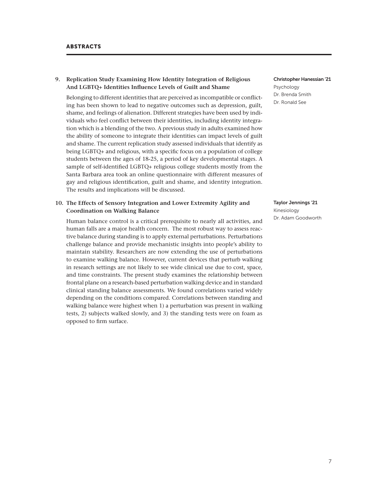#### **9. Replication Study Examining How Identity Integration of Religious And LGBTQ+ Identities Influence Levels of Guilt and Shame**

Belonging to different identities that are perceived as incompatible or conflicting has been shown to lead to negative outcomes such as depression, guilt, shame, and feelings of alienation. Different strategies have been used by individuals who feel conflict between their identities, including identity integration which is a blending of the two. A previous study in adults examined how the ability of someone to integrate their identities can impact levels of guilt and shame. The current replication study assessed individuals that identify as being LGBTQ+ and religious, with a specific focus on a population of college students between the ages of 18-25, a period of key developmental stages. A sample of self-identified LGBTQ+ religious college students mostly from the Santa Barbara area took an online questionnaire with different measures of gay and religious identification, guilt and shame, and identity integration. The results and implications will be discussed.

## **10. The Effects of Sensory Integration and Lower Extremity Agility and Coordination on Walking Balance**

Human balance control is a critical prerequisite to nearly all activities, and human falls are a major health concern. The most robust way to assess reactive balance during standing is to apply external perturbations. Perturbations challenge balance and provide mechanistic insights into people's ability to maintain stability. Researchers are now extending the use of perturbations to examine walking balance. However, current devices that perturb walking in research settings are not likely to see wide clinical use due to cost, space, and time constraints. The present study examines the relationship between frontal plane on a research-based perturbation walking device and in standard clinical standing balance assessments. We found correlations varied widely depending on the conditions compared. Correlations between standing and walking balance were highest when 1) a perturbation was present in walking tests, 2) subjects walked slowly, and 3) the standing tests were on foam as opposed to firm surface.

#### Christopher Hanessian '21 Psychology Dr. Brenda Smith Dr. Ronald See

# Taylor Jennings '21

Kinesiology Dr. Adam Goodworth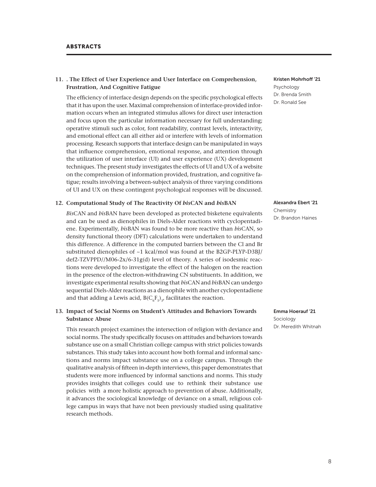# **11. . The Effect of User Experience and User Interface on Comprehension, Frustration, And Cognitive Fatigue**

The efficiency of interface design depends on the specific psychological effects that it has upon the user. Maximal comprehension of interface-provided information occurs when an integrated stimulus allows for direct user interaction and focus upon the particular information necessary for full understanding; operative stimuli such as color, font readability, contrast levels, interactivity, and emotional effect can all either aid or interfere with levels of information processing. Research supports that interface design can be manipulated in ways that influence comprehension, emotional response, and attention through the utilization of user interface (UI) and user experience (UX) development techniques. The present study investigates the effects of UI and UX of a website on the comprehension of information provided, frustration, and cognitive fatigue; results involving a between-subject analysis of three varying conditions of UI and UX on these contingent psychological responses will be discussed.

#### **12. Computational Study of The Reactivity Of** *bis***CAN and** *bis***BAN**

*Bis*CAN and *bis*BAN have been developed as protected bisketene equivalents and can be used as dienophiles in Diels-Alder reactions with cyclopentadiene. Experimentally, *bis*BAN was found to be more reactive than *bis*CAN, so density functional theory (DFT) calculations were undertaken to understand this difference. A difference in the computed barriers between the Cl and Br substituted dienophiles of  $\sim$ 1 kcal/mol was found at the B2GP-PLYP-D3BI/ def2-TZVPPD//M06-2x/6-31g(d) level of theory. A series of isodesmic reactions were developed to investigate the effect of the halogen on the reaction in the presence of the electron-withdrawing CN substituents. In addition, we investigate experimental results showing that *bis*CAN and *bis*BAN can undergo sequential Diels-Alder reactions as a dienophile with another cyclopentadiene and that adding a Lewis acid,  $B(C<sub>c</sub>F<sub>s</sub>)$ , facilitates the reaction.

# **13. Impact of Social Norms on Student's Attitudes and Behaviors Towards Substance Abuse**

This research project examines the intersection of religion with deviance and social norms. The study specifically focuses on attitudes and behaviors towards substance use on a small Christian college campus with strict policies towards substances. This study takes into account how both formal and informal sanctions and norms impact substance use on a college campus. Through the qualitative analysis of fifteen in-depth interviews, this paper demonstrates that students were more influenced by informal sanctions and norms. This study provides insights that colleges could use to rethink their substance use policies with a more holistic approach to prevention of abuse. Additionally, it advances the sociological knowledge of deviance on a small, religious college campus in ways that have not been previously studied using qualitative research methods.

#### Kristen Mohrhoff '21 Psychology Dr. Brenda Smith Dr. Ronald See

# Alexandra Ebert '21

Chemistry Dr. Brandon Haines

Emma Hoerauf '21 Sociology Dr. Meredith Whitnah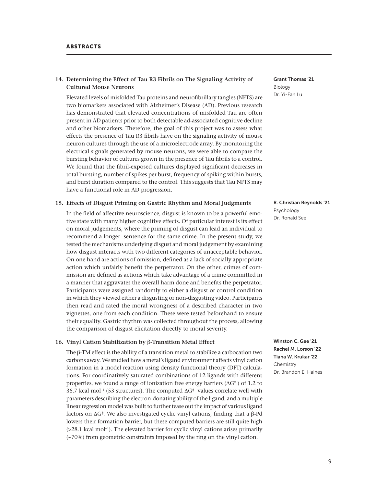# **14. Determining the Effect of Tau R3 Fibrils on The Signaling Activity of Cultured Mouse Neurons**

Elevated levels of misfolded Tau proteins and neurofibrillary tangles (NFTS) are two biomarkers associated with Alzheimer's Disease (AD). Previous research has demonstrated that elevated concentrations of misfolded Tau are often present in AD patients prior to both detectable ad-associated cognitive decline and other biomarkers. Therefore, the goal of this project was to assess what effects the presence of Tau R3 fibrils have on the signaling activity of mouse neuron cultures through the use of a microelectrode array. By monitoring the electrical signals generated by mouse neurons, we were able to compare the bursting behavior of cultures grown in the presence of Tau fibrils to a control. We found that the fibril-exposed cultures displayed significant decreases in total bursting, number of spikes per burst, frequency of spiking within bursts, and burst duration compared to the control. This suggests that Tau NFTS may have a functional role in AD progression.

#### **15. Effects of Disgust Priming on Gastric Rhythm and Moral Judgments**

In the field of affective neuroscience, disgust is known to be a powerful emotive state with many higher cognitive effects. Of particular interest is its effect on moral judgements, where the priming of disgust can lead an individual to recommend a longer sentence for the same crime. In the present study, we tested the mechanisms underlying disgust and moral judgement by examining how disgust interacts with two different categories of unacceptable behavior. On one hand are actions of omission, defined as a lack of socially appropriate action which unfairly benefit the perpetrator. On the other, crimes of commission are defined as actions which take advantage of a crime committed in a manner that aggravates the overall harm done and benefits the perpetrator. Participants were assigned randomly to either a disgust or control condition in which they viewed either a disgusting or non-disgusting video. Participants then read and rated the moral wrongness of a described character in two vignettes, one from each condition. These were tested beforehand to ensure their equality. Gastric rhythm was collected throughout the process, allowing the comparison of disgust elicitation directly to moral severity.

#### **16. Vinyl Cation Stabilization by** β**-Transition Metal Effect**

The β-TM effect is the ability of a transition metal to stabilize a carbocation two carbons away. We studied how a metal's ligand environment affects vinyl cation formation in a model reaction using density functional theory (DFT) calculations. For coordinatively saturated combinations of 12 ligands with different properties, we found a range of ionization free energy barriers ( $\Delta G$ <sup>‡</sup>) of 1.2 to 36.7 kcal mol<sup>-1</sup> (53 structures). The computed  $\Delta G^{\ddagger}$  values correlate well with parameters describing the electron-donating ability of the ligand, and a multiple linear regression model was built to further tease out the impact of various ligand factors on ΔG‡ . We also investigated cyclic vinyl cations, finding that a β-Pd lowers their formation barrier, but these computed barriers are still quite high (>28.1 kcal mol<sup>-1</sup>). The elevated barrier for cyclic vinyl cations arises primarily (~70%) from geometric constraints imposed by the ring on the vinyl cation.

Grant Thomas '21 Biology Dr. Yi-Fan Lu

#### R. Christian Reynolds '21 Psychology

Dr. Ronald See

Winston C. Gee '21 Rachel M. Lorson '22 Tiana W. Krukar '22 Chemistry Dr. Brandon E. Haines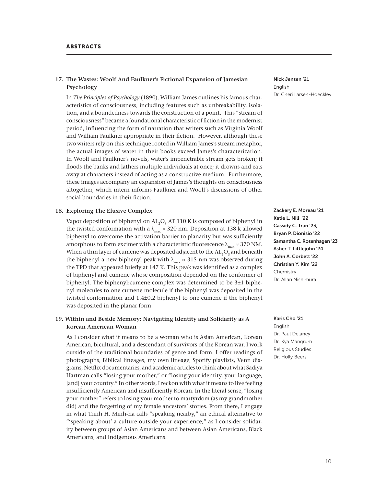# **17. The Wastes: Woolf And Faulkner's Fictional Expansion of Jamesian Psychology**

In *The Principles of Psychology* (1890), William James outlines his famous characteristics of consciousness, including features such as unbreakability, isolation, and a boundedness towards the construction of a point. This "stream of consciousness" became a foundational characteristic of fiction in the modernist period, influencing the form of narration that writers such as Virginia Woolf and William Faulkner appropriate in their fiction. However, although these two writers rely on this technique rooted in William James's stream metaphor, the actual images of water in their books exceed James's characterization. In Woolf and Faulkner's novels, water's impenetrable stream gets broken; it floods the banks and lathers multiple individuals at once; it drowns and eats away at characters instead of acting as a constructive medium. Furthermore, these images accompany an expansion of James's thoughts on consciousness altogether, which intern informs Faulkner and Woolf's discussions of other social boundaries in their fiction.

#### **18. Exploring The Elusive Complex**

Vapor deposition of biphenyl on  $AL_2O_3$  AT 110 K is composed of biphenyl in the twisted conformation with a  $\lambda_{\text{max}} \approx 320$  nm. Deposition at 138 k allowed biphenyl to overcome the activation barrier to planarity but was sufficiently amorphous to form excimer with a characteristic fluorescence  $\lambda_{\text{max}} \approx 370 \text{ NM}$ . When a thin layer of cumene was deposited adjacent to the  $\operatorname{AL}_2\!\mathrm{O}_3$  and beneath the biphenyl a new biphenyl peak with  $\lambda_{\text{max}} \approx 315$  nm was observed during the TPD that appeared briefly at 147 K. This peak was identified as a complex of biphenyl and cumene whose composition depended on the conformer of biphenyl. The biphenyl:cumene complex was determined to be 3±1 biphenyl molecules to one cumene molecule if the biphenyl was deposited in the twisted conformation and 1.4±0.2 biphenyl to one cumene if the biphenyl was deposited in the planar form.

#### **19. Within and Beside Memory: Navigating Identity and Solidarity as A Korean American Woman**

As I consider what it means to be a woman who is Asian American, Korean American, bicultural, and a descendant of survivors of the Korean war, I work outside of the traditional boundaries of genre and form. I offer readings of photographs, Biblical lineages, my own lineage, Spotify playlists, Venn diagrams, Netflix documentaries, and academic articles to think about what Sadiya Hartman calls "losing your mother," or "losing your identity, your language, [and] your country." In other words, I reckon with what it means to live feeling insufficiently American and insufficiently Korean. In the literal sense, "losing your mother" refers to losing your mother to martyrdom (as my grandmother did) and the forgetting of my female ancestors' stories. From there, I engage in what Trinh H. Minh-ha calls "speaking nearby," an ethical alternative to "'speaking about' a culture outside your experience," as I consider solidarity between groups of Asian Americans and between Asian Americans, Black Americans, and Indigenous Americans.

Nick Jensen '21 English Dr. Cheri Larsen-Hoeckley

Zackery E. Moreau '21 Katie L. Nili '22 Cassidy C. Tran '23, Bryan P. Dionisio '22 Samantha C. Rosenhagen '23 Asher T. Littlejohn '24 John A. Corbett '22 Christian Y. Kim '22 Chemistry Dr. Allan Nishimura

Karis Cho '21 English Dr. Paul Delaney Dr. Kya Mangrum Religious Studies Dr. Holly Beers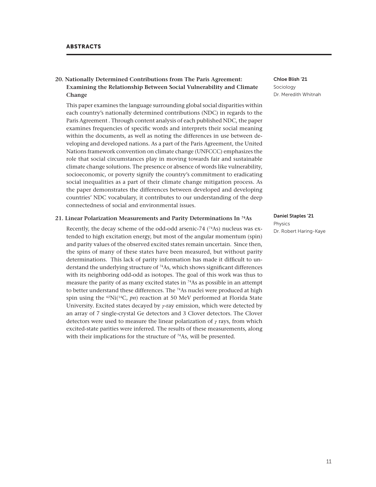# **20. Nationally Determined Contributions from The Paris Agreement: Examining the Relationship Between Social Vulnerability and Climate Change**

This paper examines the language surrounding global social disparities within each country's nationally determined contributions (NDC) in regards to the Paris Agreement . Through content analysis of each published NDC, the paper examines frequencies of specific words and interprets their social meaning within the documents, as well as noting the differences in use between developing and developed nations. As a part of the Paris Agreement, the United Nations framework convention on climate change (UNFCCC) emphasizes the role that social circumstances play in moving towards fair and sustainable climate change solutions. The presence or absence of words like vulnerability, socioeconomic, or poverty signify the country's commitment to eradicating social inequalities as a part of their climate change mitigation process. As the paper demonstrates the differences between developed and developing countries' NDC vocabulary, it contributes to our understanding of the deep connectedness of social and environmental issues.

#### **21. Linear Polarization Measurements and Parity Determinations In 74As**

Recently, the decay scheme of the odd-odd arsenic-74  $(^{74}As)$  nucleus was extended to high excitation energy, but most of the angular momentum (spin) and parity values of the observed excited states remain uncertain. Since then, the spins of many of these states have been measured, but without parity determinations. This lack of parity information has made it difficult to understand the underlying structure of 74As, which shows significant differences with its neighboring odd-odd as isotopes. The goal of this work was thus to measure the parity of as many excited states in  $^{74}$ As as possible in an attempt to better understand these differences. The <sup>74</sup>As nuclei were produced at high spin using the <sup>62</sup>Ni(<sup>14</sup>C, *pn*) reaction at 50 MeV performed at Florida State University. Excited states decayed by  $\gamma$ -ray emission, which were detected by an array of 7 single-crystal Ge detectors and 3 Clover detectors. The Clover detectors were used to measure the linear polarization of  $\gamma$  rays, from which excited-state parities were inferred. The results of these measurements, along with their implications for the structure of  $74$ As, will be presented.

Chloe Blish '21 Sociology Dr. Meredith Whitnah

#### Daniel Staples '21

Physics Dr. Robert Haring-Kaye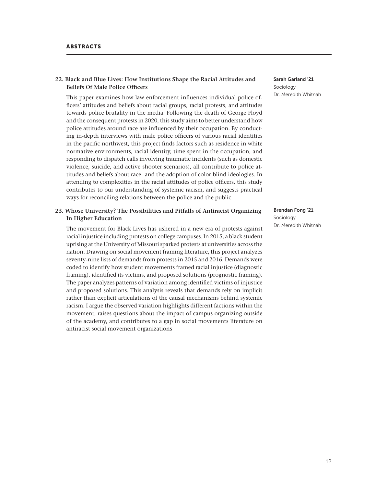# **22. Black and Blue Lives: How Institutions Shape the Racial Attitudes and Beliefs Of Male Police Officers**

This paper examines how law enforcement influences individual police officers' attitudes and beliefs about racial groups, racial protests, and attitudes towards police brutality in the media. Following the death of George Floyd and the consequent protests in 2020, this study aims to better understand how police attitudes around race are influenced by their occupation. By conducting in-depth interviews with male police officers of various racial identities in the pacific northwest, this project finds factors such as residence in white normative environments, racial identity, time spent in the occupation, and responding to dispatch calls involving traumatic incidents (such as domestic violence, suicide, and active shooter scenarios), all contribute to police attitudes and beliefs about race--and the adoption of color-blind ideologies. In attending to complexities in the racial attitudes of police officers, this study contributes to our understanding of systemic racism, and suggests practical ways for reconciling relations between the police and the public.

#### **23. Whose University? The Possibilities and Pitfalls of Antiracist Organizing In Higher Education**

The movement for Black Lives has ushered in a new era of protests against racial injustice including protests on college campuses. In 2015, a black student uprising at the University of Missouri sparked protests at universities across the nation. Drawing on social movement framing literature, this project analyzes seventy-nine lists of demands from protests in 2015 and 2016. Demands were coded to identify how student movements framed racial injustice (diagnostic framing), identified its victims, and proposed solutions (prognostic framing). The paper analyzes patterns of variation among identified victims of injustice and proposed solutions. This analysis reveals that demands rely on implicit rather than explicit articulations of the causal mechanisms behind systemic racism. I argue the observed variation highlights different factions within the movement, raises questions about the impact of campus organizing outside of the academy, and contributes to a gap in social movements literature on antiracist social movement organizations

Sarah Garland '21 Sociology Dr. Meredith Whitnah

#### Brendan Fong '21

Sociology Dr. Meredith Whitnah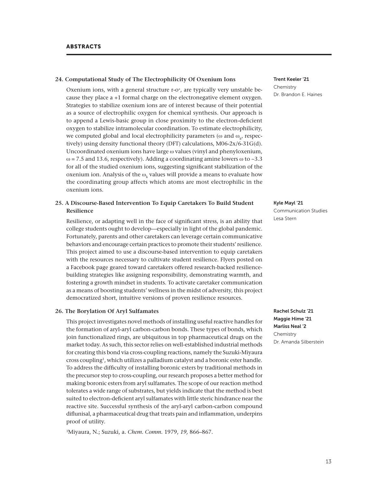#### **24. Computational Study of The Electrophilicity Of Oxenium Ions**

Oxenium ions, with a general structure r-o<sup>+</sup>, are typically very unstable because they place a +1 formal charge on the electronegative element oxygen. Strategies to stabilize oxenium ions are of interest because of their potential as a source of electrophilic oxygen for chemical synthesis. Our approach is to append a Lewis-basic group in close proximity to the electron-deficient oxygen to stabilize intramolecular coordination. To estimate electrophilicity, we computed global and local electrophilicity parameters ( $\omega$  and  $\omega_{\mathbf{k}'}$ , respectively) using density functional theory (DFT) calculations, M06-2x/6-31G(d). Uncoordinated oxenium ions have large ω values (vinyl and phenyloxenium,  $\omega$  = 7.5 and 13.6, respectively). Adding a coordinating amine lowers  $\omega$  to ~3.3 for all of the studied oxenium ions, suggesting significant stabilization of the oxenium ion. Analysis of the  $\omega_{\rm k}$  values will provide a means to evaluate how the coordinating group affects which atoms are most electrophilic in the oxenium ions.

# **25. A Discourse-Based Intervention To Equip Caretakers To Build Student Resilience**

Resilience, or adapting well in the face of significant stress, is an ability that college students ought to develop—especially in light of the global pandemic. Fortunately, parents and other caretakers can leverage certain communicative behaviors and encourage certain practices to promote their students' resilience. This project aimed to use a discourse-based intervention to equip caretakers with the resources necessary to cultivate student resilience. Flyers posted on a Facebook page geared toward caretakers offered research-backed resiliencebuilding strategies like assigning responsibility, demonstrating warmth, and fostering a growth mindset in students. To activate caretaker communication as a means of boosting students' wellness in the midst of adversity, this project democratized short, intuitive versions of proven resilience resources.

#### **26. The Borylation Of Aryl Sulfamates**

This project investigates novel methods of installing useful reactive handles for the formation of aryl-aryl carbon-carbon bonds. These types of bonds, which join functionalized rings, are ubiquitous in top pharmaceutical drugs on the market today. As such, this sector relies on well-established industrial methods for creating this bond via cross-coupling reactions, namely the Suzuki-Miyaura cross coupling1, which utilizes a palladium catalyst and a boronic ester handle. To address the difficulty of installing boronic esters by traditional methods in the precursor step to cross-coupling, our research proposes a better method for making boronic esters from aryl sulfamates. The scope of our reaction method tolerates a wide range of substrates, but yields indicate that the method is best suited to electron-deficient aryl sulfamates with little steric hindrance near the reactive site. Successful synthesis of the aryl-aryl carbon-carbon compound diflunisal, a pharmaceutical drug that treats pain and inflammation, underpins proof of utility.

1Miyaura, N.; Suzuki, a. *Chem. Comm.* 1979, *19,* 866–867.

Trent Keeler '21 Chemistry Dr. Brandon E. Haines

#### Kyle Mayl '21

Communication Studies Lesa Stern

Rachel Schulz '21 Maggie Hime '21 Marliss Neal '2 Chemistry Dr. Amanda Silberstein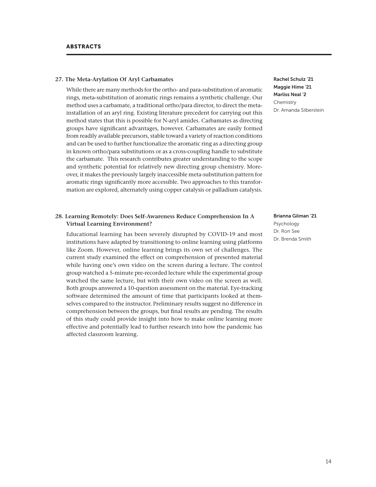#### **27. The Meta-Arylation Of Aryl Carbamates**

While there are many methods for the ortho- and para-substitution of aromatic rings, meta-substitution of aromatic rings remains a synthetic challenge. Our method uses a carbamate, a traditional ortho/para director, to direct the metainstallation of an aryl ring. Existing literature precedent for carrying out this method states that this is possible for N-aryl amides. Carbamates as directing groups have significant advantages, however. Carbamates are easily formed from readily available precursors, stable toward a variety of reaction conditions and can be used to further functionalize the aromatic ring as a directing group in known ortho/para substitutions or as a cross-coupling handle to substitute the carbamate. This research contributes greater understanding to the scope and synthetic potential for relatively new directing group chemistry. Moreover, it makes the previously largely inaccessible meta-substitution pattern for aromatic rings significantly more accessible. Two approaches to this transformation are explored, alternately using copper catalysis or palladium catalysis.

# **28. Learning Remotely: Does Self-Awareness Reduce Comprehension In A Virtual Learning Environment?**

Educational learning has been severely disrupted by COVID-19 and most institutions have adapted by transitioning to online learning using platforms like Zoom. However, online learning brings its own set of challenges. The current study examined the effect on comprehension of presented material while having one's own video on the screen during a lecture. The control group watched a 5-minute pre-recorded lecture while the experimental group watched the same lecture, but with their own video on the screen as well. Both groups answered a 10-question assessment on the material. Eye-tracking software determined the amount of time that participants looked at themselves compared to the instructor. Preliminary results suggest no difference in comprehension between the groups, but final results are pending. The results of this study could provide insight into how to make online learning more effective and potentially lead to further research into how the pandemic has affected classroom learning.

Rachel Schulz '21 Maggie Hime '21 Marliss Neal '2 Chemistry Dr. Amanda Silberstein

#### Brianna Gilman '21

Psychology Dr. Ron See Dr. Brenda Smith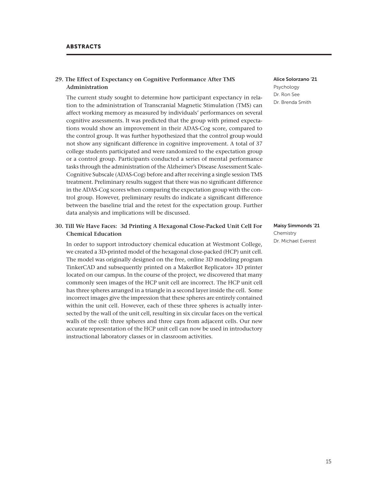#### **29. The Effect of Expectancy on Cognitive Performance After TMS Administration**

The current study sought to determine how participant expectancy in relation to the administration of Transcranial Magnetic Stimulation (TMS) can affect working memory as measured by individuals' performances on several cognitive assessments. It was predicted that the group with primed expectations would show an improvement in their ADAS-Cog score, compared to the control group. It was further hypothesized that the control group would not show any significant difference in cognitive improvement. A total of 37 college students participated and were randomized to the expectation group or a control group. Participants conducted a series of mental performance tasks through the administration of the Alzheimer's Disease Assessment Scale-Cognitive Subscale (ADAS-Cog) before and after receiving a single session TMS treatment. Preliminary results suggest that there was no significant difference in the ADAS-Cog scores when comparing the expectation group with the control group. However, preliminary results do indicate a significant difference between the baseline trial and the retest for the expectation group. Further data analysis and implications will be discussed.

## **30. Till We Have Faces: 3d Printing A Hexagonal Close-Packed Unit Cell For Chemical Education**

In order to support introductory chemical education at Westmont College, we created a 3D-printed model of the hexagonal close-packed (HCP) unit cell. The model was originally designed on the free, online 3D modeling program TinkerCAD and subsequently printed on a MakerBot Replicator+ 3D printer located on our campus. In the course of the project, we discovered that many commonly seen images of the HCP unit cell are incorrect. The HCP unit cell has three spheres arranged in a triangle in a second layer inside the cell. Some incorrect images give the impression that these spheres are entirely contained within the unit cell. However, each of these three spheres is actually intersected by the wall of the unit cell, resulting in six circular faces on the vertical walls of the cell: three spheres and three caps from adjacent cells. Our new accurate representation of the HCP unit cell can now be used in introductory instructional laboratory classes or in classroom activities.

Alice Solorzano '21 Psychology Dr. Ron See Dr. Brenda Smith

Maisy Simmonds '21 Chemistry Dr. Michael Everest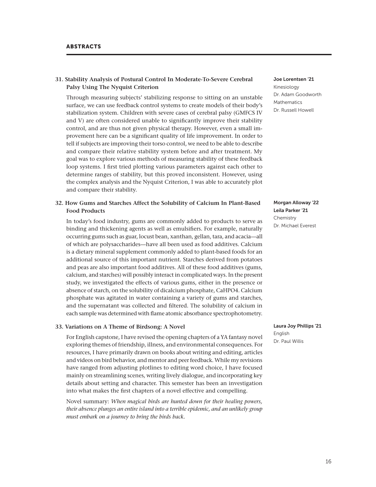# **31. Stability Analysis of Postural Control In Moderate-To-Severe Cerebral Palsy Using The Nyquist Criterion**

Through measuring subjects' stabilizing response to sitting on an unstable surface, we can use feedback control systems to create models of their body's stabilization system. Children with severe cases of cerebral palsy (GMFCS IV and V) are often considered unable to significantly improve their stability control, and are thus not given physical therapy. However, even a small improvement here can be a significant quality of life improvement. In order to tell if subjects are improving their torso control, we need to be able to describe and compare their relative stability system before and after treatment. My goal was to explore various methods of measuring stability of these feedback loop systems. I first tried plotting various parameters against each other to determine ranges of stability, but this proved inconsistent. However, using the complex analysis and the Nyquist Criterion, I was able to accurately plot and compare their stability.

# **32. How Gums and Starches Affect the Solubility of Calcium In Plant-Based Food Products**

In today's food industry, gums are commonly added to products to serve as binding and thickening agents as well as emulsifiers. For example, naturally occurring gums such as guar, locust bean, xanthan, gellan, tara, and acacia—all of which are polysaccharides—have all been used as food additives. Calcium is a dietary mineral supplement commonly added to plant-based foods for an additional source of this important nutrient. Starches derived from potatoes and peas are also important food additives. All of these food additives (gums, calcium, and starches) will possibly interact in complicated ways. In the present study, we investigated the effects of various gums, either in the presence or absence of starch, on the solubility of dicalcium phosphate, CaHPO4. Calcium phosphate was agitated in water containing a variety of gums and starches, and the supernatant was collected and filtered. The solubility of calcium in each sample was determined with flame atomic absorbance spectrophotometry.

#### **33. Variations on A Theme of Birdsong: A Novel**

For English capstone, I have revised the opening chapters of a YA fantasy novel exploring themes of friendship, illness, and environmental consequences. For resources, I have primarily drawn on books about writing and editing, articles and videos on bird behavior, and mentor and peer feedback. While my revisions have ranged from adjusting plotlines to editing word choice, I have focused mainly on streamlining scenes, writing lively dialogue, and incorporating key details about setting and character. This semester has been an investigation into what makes the first chapters of a novel effective and compelling.

Novel summary: *When magical birds are hunted down for their healing powers, their absence plunges an entire island into a terrible epidemic, and an unlikely group must embark on a journey to bring the birds back.* 

Joe Lorentsen '21 Kinesiology Dr. Adam Goodworth Mathematics Dr. Russell Howell

Morgan Alloway '22 Leila Parker '21 Chemistry Dr. Michael Everest

Laura Joy Phillips '21 English Dr. Paul Willis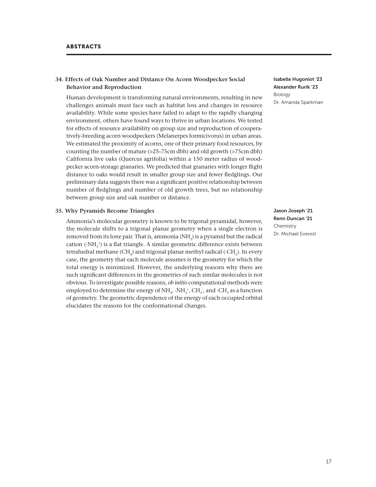### **34. Effects of Oak Number and Distance On Acorn Woodpecker Social Behavior and Reproduction**

Human development is transforming natural environments, resulting in new challenges animals must face such as habitat loss and changes in resource availability. While some species have failed to adapt to the rapidly changing environment, others have found ways to thrive in urban locations. We tested for effects of resource availability on group size and reproduction of cooperatively-breeding acorn woodpeckers (Melanerpes formicivorus) in urban areas. We estimated the proximity of acorns, one of their primary food resources, by counting the number of mature (>25-75cm dbh) and old growth (>75cm dbh) California live oaks (Quercus agrifolia) within a 150 meter radius of woodpecker acorn-storage granaries. We predicted that granaries with longer flight distance to oaks would result in smaller group size and fewer fledglings. Our preliminary data suggests there was a significant positive relationship between number of fledglings and number of old growth trees, but no relationship between group size and oak number or distance.

#### **35. Why Pyramids Become Triangles**

Ammonia's molecular geometry is known to be trigonal pyramidal, however, the molecule shifts to a trigonal planar geometry when a single electron is removed from its lone pair. That is, ammonia (NH $_{\rm 3}$ ) is a pyramid but the radical cation  $({\cdot}NH_{3}^{\ast})$  is a flat triangle. A similar geometric difference exists between tetrahedral methane (CH<sub>4</sub>) and trigonal planar methyl radical (·CH<sub>3</sub>). In every case, the geometry that each molecule assumes is the geometry for which the total energy is minimized. However, the underlying reasons why there are such significant differences in the geometries of such similar molecules is not obvious. To investigate possible reasons, *ob initio* computational methods were employed to determine the energy of NH<sub>3</sub>,  $\cdot$ NH<sub>3</sub><sup>+</sup>, CH<sub>3</sub><sup>-</sup>, and  $\cdot$ CH<sub>3</sub> as a function of geometry. The geometric dependence of the energy of each occupied orbital elucidates the reasons for the conformational changes.

Isabelle Hugoniot '23 Alexander Rurik '23 Biology Dr. Amanda Sparkman

Jason Joseph '21 Renn Duncan '21 Chemistry Dr. Michael Everest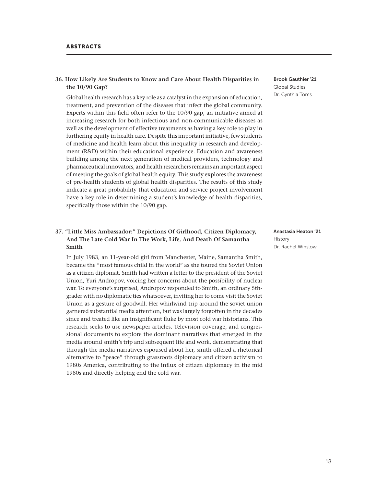# **36. How Likely Are Students to Know and Care About Health Disparities in the 10/90 Gap?**

Global health research has a key role as a catalyst in the expansion of education, treatment, and prevention of the diseases that infect the global community. Experts within this field often refer to the 10/90 gap, an initiative aimed at increasing research for both infectious and non-communicable diseases as well as the development of effective treatments as having a key role to play in furthering equity in health care. Despite this important initiative, few students of medicine and health learn about this inequality in research and development (R&D) within their educational experience. Education and awareness building among the next generation of medical providers, technology and pharmaceutical innovators, and health researchers remains an important aspect of meeting the goals of global health equity. This study explores the awareness of pre-health students of global health disparities. The results of this study indicate a great probability that education and service project involvement have a key role in determining a student's knowledge of health disparities, specifically those within the 10/90 gap.

# **37. "Little Miss Ambassador:" Depictions Of Girlhood, Citizen Diplomacy, And The Late Cold War In The Work, Life, And Death Of Samantha Smith**

In July 1983, an 11-year-old girl from Manchester, Maine, Samantha Smith, became the "most famous child in the world" as she toured the Soviet Union as a citizen diplomat. Smith had written a letter to the president of the Soviet Union, Yuri Andropov, voicing her concerns about the possibility of nuclear war. To everyone's surprised, Andropov responded to Smith, an ordinary 5thgrader with no diplomatic ties whatsoever, inviting her to come visit the Soviet Union as a gesture of goodwill. Her whirlwind trip around the soviet union garnered substantial media attention, but was largely forgotten in the decades since and treated like an insignificant fluke by most cold war historians. This research seeks to use newspaper articles. Television coverage, and congressional documents to explore the dominant narratives that emerged in the media around smith's trip and subsequent life and work, demonstrating that through the media narratives espoused about her, smith offered a rhetorical alternative to "peace" through grassroots diplomacy and citizen activism to 1980s America, contributing to the influx of citizen diplomacy in the mid 1980s and directly helping end the cold war.

Brook Gauthier '21 Global Studies Dr. Cynthia Toms

Anastasia Heaton '21 History Dr. Rachel Winslow